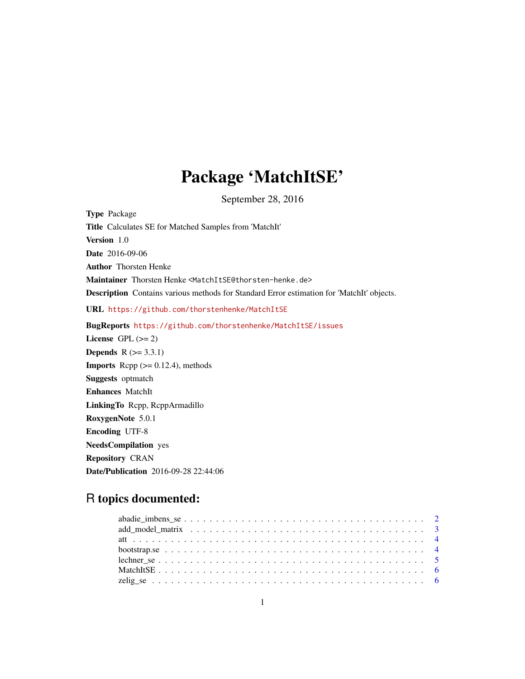## Package 'MatchItSE'

September 28, 2016

Type Package Title Calculates SE for Matched Samples from 'MatchIt' Version 1.0 Date 2016-09-06 Author Thorsten Henke Maintainer Thorsten Henke <MatchItSE@thorsten-henke.de> Description Contains various methods for Standard Error estimation for 'MatchIt' objects. URL <https://github.com/thorstenhenke/MatchItSE> BugReports <https://github.com/thorstenhenke/MatchItSE/issues> License GPL  $(>= 2)$ **Depends**  $R (= 3.3.1)$ **Imports** Rcpp  $(>= 0.12.4)$ , methods Suggests optmatch Enhances MatchIt LinkingTo Rcpp, RcppArmadillo RoxygenNote 5.0.1 Encoding UTF-8 NeedsCompilation yes Repository CRAN

Date/Publication 2016-09-28 22:44:06

### R topics documented: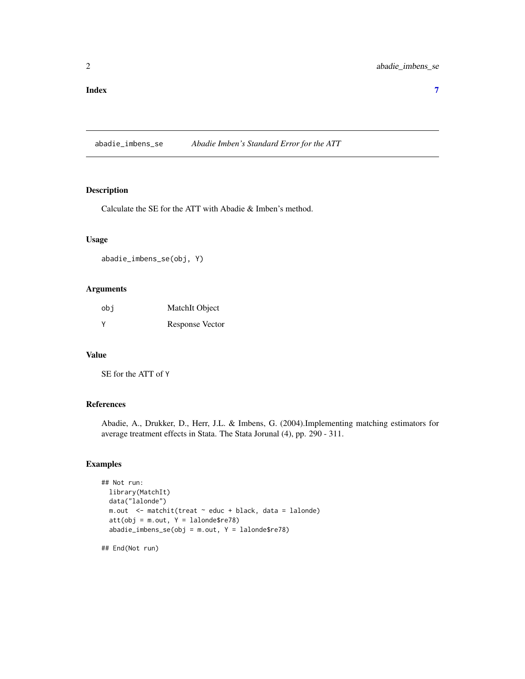<span id="page-1-0"></span>abadie\_imbens\_se *Abadie Imben's Standard Error for the ATT*

#### Description

Calculate the SE for the ATT with Abadie & Imben's method.

#### Usage

abadie\_imbens\_se(obj, Y)

#### Arguments

| obi    | MatchIt Object  |
|--------|-----------------|
| $\vee$ | Response Vector |

#### Value

SE for the ATT of Y

#### References

Abadie, A., Drukker, D., Herr, J.L. & Imbens, G. (2004).Implementing matching estimators for average treatment effects in Stata. The Stata Jorunal (4), pp. 290 - 311.

#### Examples

```
## Not run:
  library(MatchIt)
  data("lalonde")
  m.out <- matchit(treat ~ educ + black, data = lalonde)
  att(obj = m.out, Y = lalone$re78)abadic\_imbens\_se(obj = m.out, Y = lalone$re78)
```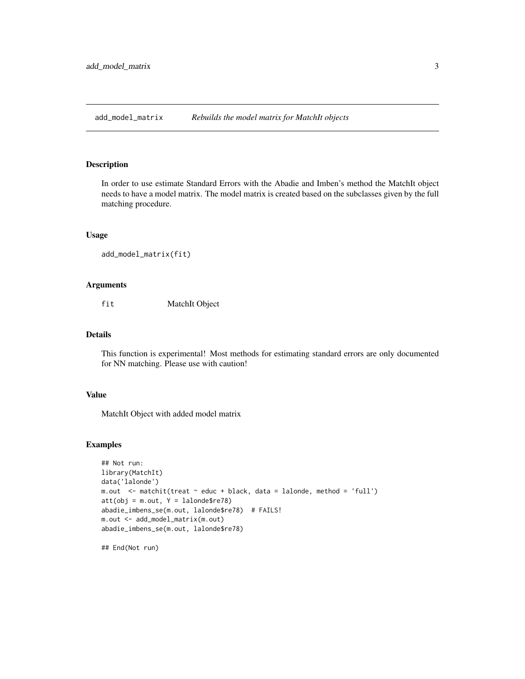<span id="page-2-0"></span>add\_model\_matrix *Rebuilds the model matrix for MatchIt objects*

#### Description

In order to use estimate Standard Errors with the Abadie and Imben's method the MatchIt object needs to have a model matrix. The model matrix is created based on the subclasses given by the full matching procedure.

#### Usage

```
add_model_matrix(fit)
```
#### Arguments

fit MatchIt Object

#### Details

This function is experimental! Most methods for estimating standard errors are only documented for NN matching. Please use with caution!

#### Value

MatchIt Object with added model matrix

#### Examples

```
## Not run:
library(MatchIt)
data('lalonde')
m.out <- matchit(treat ~ educ + black, data = lalonde, method = 'full')
att(obj = m.out, Y = lalone$re78)abadie_imbens_se(m.out, lalonde$re78) # FAILS!
m.out <- add_model_matrix(m.out)
abadie_imbens_se(m.out, lalonde$re78)
```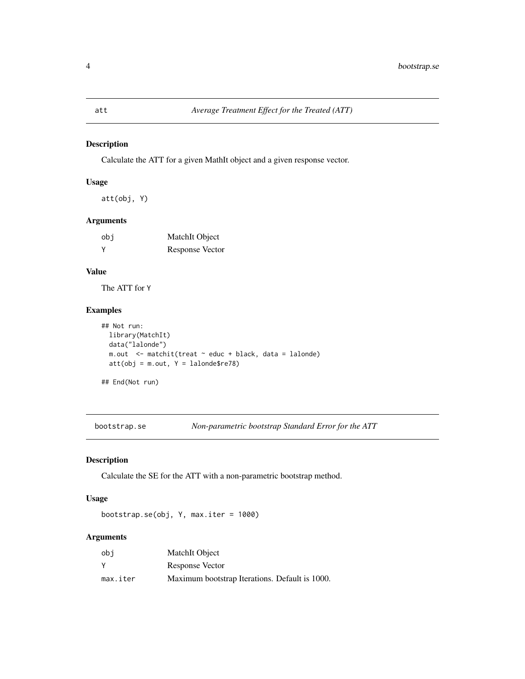#### <span id="page-3-0"></span>Description

Calculate the ATT for a given MathIt object and a given response vector.

#### Usage

att(obj, Y)

#### Arguments

| obi      | MatchIt Object  |
|----------|-----------------|
| <b>V</b> | Response Vector |

#### Value

The ATT for Y

#### Examples

```
## Not run:
 library(MatchIt)
 data("lalonde")
 m.out <- matchit(treat ~ educ + black, data = lalonde)
 att(obj = m.out, Y = lalone$ref8)
```
## End(Not run)

bootstrap.se *Non-parametric bootstrap Standard Error for the ATT*

#### Description

Calculate the SE for the ATT with a non-parametric bootstrap method.

#### Usage

bootstrap.se(obj, Y, max.iter = 1000)

#### Arguments

| obi      | MatchIt Object                                 |
|----------|------------------------------------------------|
| <b>Y</b> | Response Vector                                |
| max.iter | Maximum bootstrap Iterations. Default is 1000. |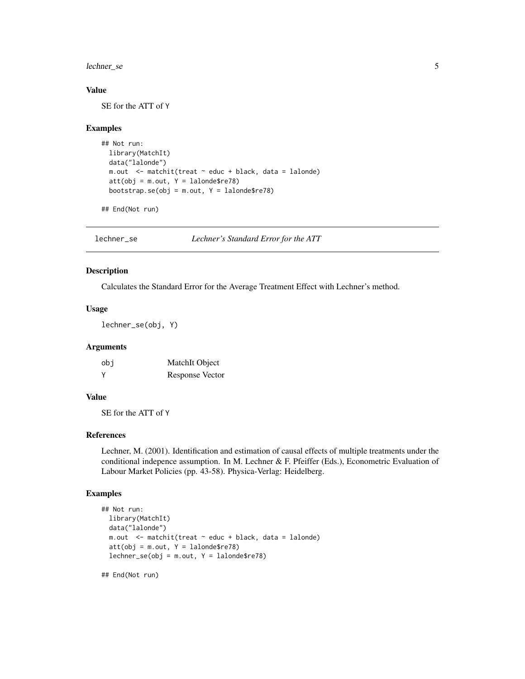<span id="page-4-0"></span>lechner\_se 5

#### Value

SE for the ATT of Y

#### Examples

```
## Not run:
 library(MatchIt)
 data("lalonde")
 m.out <- matchit(treat ~ educ + black, data = lalonde)
 att(obj = m.out, Y = lalone$re78)bootstrap.se(obj = m.out, Y = lalonde$re78)
```
## End(Not run)

lechner\_se *Lechner's Standard Error for the ATT*

#### Description

Calculates the Standard Error for the Average Treatment Effect with Lechner's method.

#### Usage

lechner\_se(obj, Y)

#### Arguments

| obi    | MatchIt Object         |
|--------|------------------------|
| $\vee$ | <b>Response Vector</b> |

#### Value

SE for the ATT of Y

#### References

Lechner, M. (2001). Identification and estimation of causal effects of multiple treatments under the conditional indepence assumption. In M. Lechner & F. Pfeiffer (Eds.), Econometric Evaluation of Labour Market Policies (pp. 43-58). Physica-Verlag: Heidelberg.

#### Examples

```
## Not run:
 library(MatchIt)
 data("lalonde")
 m.out <- matchit(treat ~ educ + black, data = lalonde)
 att(obj = m.out, Y = lalone$ref8)lechner_se(obj = m.out, Y = lalone$re78)
```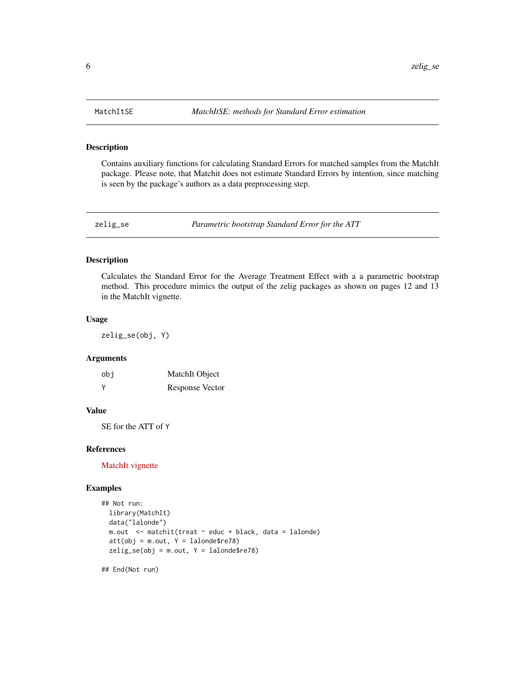<span id="page-5-0"></span>

#### Description

Contains auxiliary functions for calculating Standard Errors for matched samples from the MatchIt package. Please note, that Matchit does not estimate Standard Errors by intention, since matching is seen by the package's authors as a data preprocessing step.

zelig\_se *Parametric bootstrap Standard Error for the ATT*

#### Description

Calculates the Standard Error for the Average Treatment Effect with a a parametric bootstrap method. This procedure mimics the output of the zelig packages as shown on pages 12 and 13 in the MatchIt vignette.

#### Usage

zelig\_se(obj, Y)

#### Arguments

| obi | MatchIt Object  |
|-----|-----------------|
| V   | Response Vector |

#### Value

SE for the ATT of Y

#### References

[MatchIt vignette](http://imai.princeton.edu/research/files/matchit.pdf)

#### Examples

```
## Not run:
 library(MatchIt)
 data("lalonde")
 m.out <- matchit(treat ~ educ + black, data = lalonde)
 att(obj = m.out, Y = lalone$re78)zelig_se(obj = m.out, Y = lalonde$re78)
```